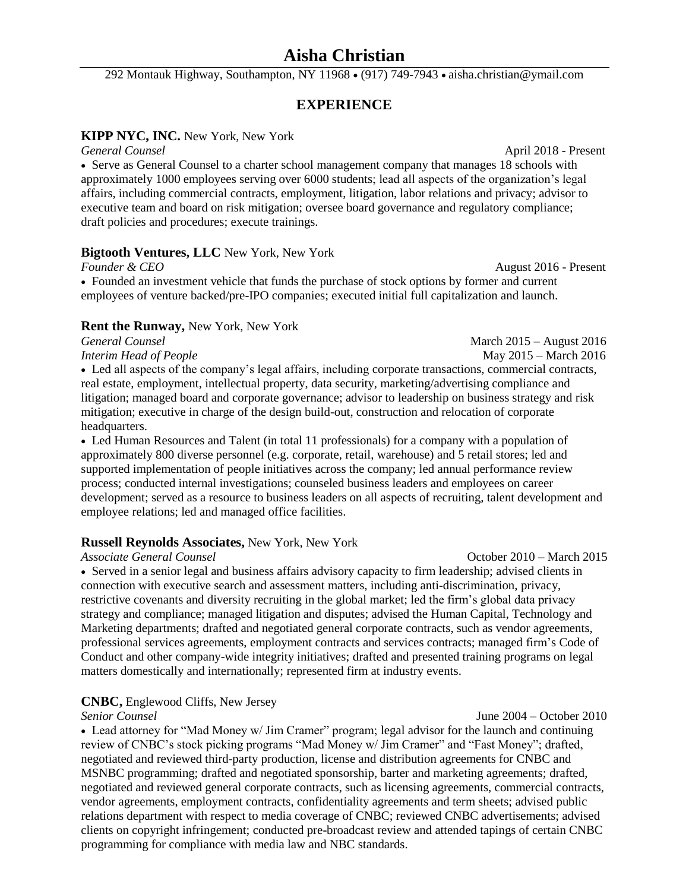## **Aisha Christian**

292 Montauk Highway, Southampton, NY 11968 · (917) 749-7943 · aisha.christian@ymail.com

### **EXPERIENCE**

#### **KIPP NYC, INC.** New York, New York

*General Counsel* April 2018 - Present Serve as General Counsel to a charter school management company that manages 18 schools with approximately 1000 employees serving over 6000 students; lead all aspects of the organization's legal affairs, including commercial contracts, employment, litigation, labor relations and privacy; advisor to executive team and board on risk mitigation; oversee board governance and regulatory compliance; draft policies and procedures; execute trainings.

#### **Bigtooth Ventures, LLC** New York, New York

*Founder & CEO* August 2016 - Present Founded an investment vehicle that funds the purchase of stock options by former and current employees of venture backed/pre-IPO companies; executed initial full capitalization and launch.

#### **Rent the Runway,** New York, New York

*General Counsel* March 2015 – August 2016 *Interim Head of People* **May 2015** – March 2016 Led all aspects of the company's legal affairs, including corporate transactions, commercial contracts, real estate, employment, intellectual property, data security, marketing/advertising compliance and litigation; managed board and corporate governance; advisor to leadership on business strategy and risk mitigation; executive in charge of the design build-out, construction and relocation of corporate headquarters.

 Led Human Resources and Talent (in total 11 professionals) for a company with a population of approximately 800 diverse personnel (e.g. corporate, retail, warehouse) and 5 retail stores; led and supported implementation of people initiatives across the company; led annual performance review process; conducted internal investigations; counseled business leaders and employees on career development; served as a resource to business leaders on all aspects of recruiting, talent development and employee relations; led and managed office facilities.

#### **Russell Reynolds Associates,** New York, New York

 Served in a senior legal and business affairs advisory capacity to firm leadership; advised clients in connection with executive search and assessment matters, including anti-discrimination, privacy, restrictive covenants and diversity recruiting in the global market; led the firm's global data privacy strategy and compliance; managed litigation and disputes; advised the Human Capital, Technology and Marketing departments; drafted and negotiated general corporate contracts, such as vendor agreements, professional services agreements, employment contracts and services contracts; managed firm's Code of Conduct and other company-wide integrity initiatives; drafted and presented training programs on legal matters domestically and internationally; represented firm at industry events.

#### **CNBC,** Englewood Cliffs, New Jersey

#### *Senior Counsel* June 2004 – October 2010

• Lead attorney for "Mad Money w/ Jim Cramer" program; legal advisor for the launch and continuing review of CNBC's stock picking programs "Mad Money w/ Jim Cramer" and "Fast Money"; drafted, negotiated and reviewed third-party production, license and distribution agreements for CNBC and MSNBC programming; drafted and negotiated sponsorship, barter and marketing agreements; drafted, negotiated and reviewed general corporate contracts, such as licensing agreements, commercial contracts, vendor agreements, employment contracts, confidentiality agreements and term sheets; advised public relations department with respect to media coverage of CNBC; reviewed CNBC advertisements; advised clients on copyright infringement; conducted pre-broadcast review and attended tapings of certain CNBC programming for compliance with media law and NBC standards.

*Associate General Counsel* October 2010 – March 2015